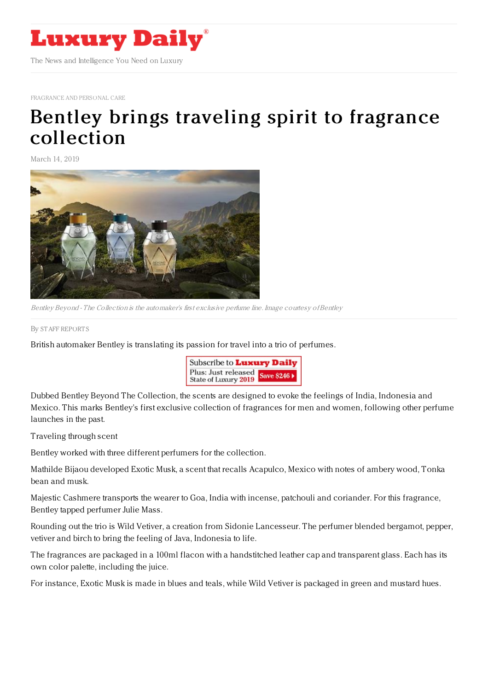

[FRAGRANCE](https://www.luxurydaily.com/category/sectors/fragrance-and-personal-care/) AND PERSONAL CARE

## Bentley brings traveling spirit to fragrance [collection](https://www.luxurydaily.com/bentley-brings-traveling-spirit-to-fragrance-collection/)

March 14, 2019



Bentley Beyond - The Collection is the automaker's first exclusive perfume line. Image courtesy of Bentley

By STAFF [REPORT](file:///author/staff-reports) S

British automaker Bentley is translating its passion for travel into a trio of perfumes.



Dubbed Bentley Beyond The Collection, the scents are designed to evoke the feelings of India, Indonesia and Mexico. This marks Bentley's first exclusive collection of fragrances for men and women, following other perfume launches in the past.

Traveling through scent

Bentley worked with three different perfumers for the collection.

Mathilde Bijaou developed Exotic Musk, a scent that recalls Acapulco, Mexico with notes of ambery wood, Tonka bean and musk.

Majestic Cashmere transports the wearer to Goa, India with incense, patchouli and coriander. For this fragrance, Bentley tapped perfumer Julie Mass.

Rounding out the trio is Wild Vetiver, a creation from Sidonie Lancesseur. The perfumer blended bergamot, pepper, vetiver and birch to bring the feeling of Java, Indonesia to life.

The fragrances are packaged in a 100ml flacon with a handstitched leather cap and transparent glass. Each has its own color palette, including the juice.

For instance, Exotic Musk is made in blues and teals, while Wild Vetiver is packaged in green and mustard hues.